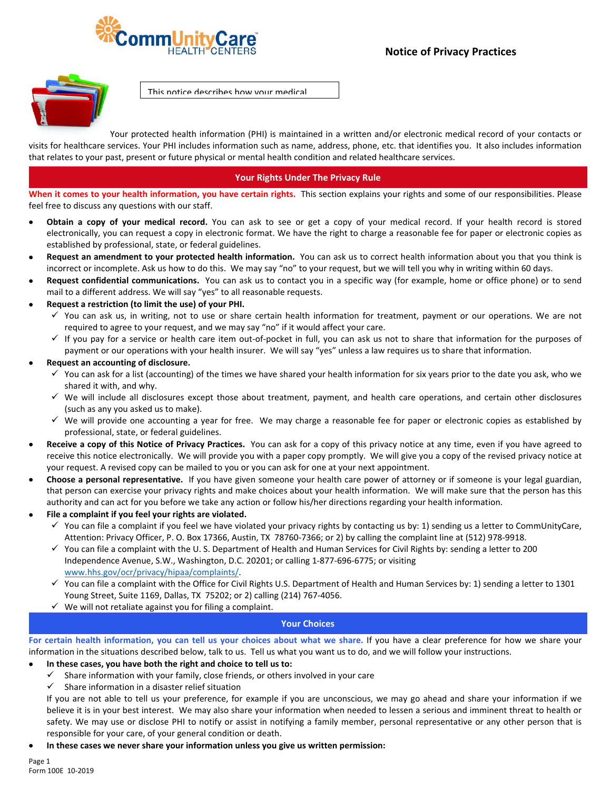



This notice describes how your medical

Your protected health information (PHI) is maintained in a written and/or electronic medical record of your contacts or visits for healthcare services. Your PHI includes information such as name, address, phone, etc. that identifies you. It also includes information that relates to your past, present or future physical or mental health condition and related healthcare services.

# **Your Rights Under The Privacy Rule**

**When it comes to your health information, you have certain rights.** This section explains your rights and some of our responsibilities. Please feel free to discuss any questions with our staff.

- **Obtain a copy of your medical record.** You can ask to see or get a copy of your medical record. If your health record is stored electronically, you can request a copy in electronic format. We have the right to charge a reasonable fee for paper or electronic copies as established by professional, state, or federal guidelines.
- **Request an amendment to your protected health information.** You can ask us to correct health information about you that you think is incorrect or incomplete. Ask us how to do this. We may say "no" to your request, but we will tell you why in writing within 60 days.
- **Request confidential communications.** You can ask us to contact you in a specific way (for example, home or office phone) or to send mail to a different address. We will say "yes" to all reasonable requests.
- **Request a restriction (to limit the use) of your PHI.**
	- $\checkmark$  You can ask us, in writing, not to use or share certain health information for treatment, payment or our operations. We are not required to agree to your request, and we may say "no" if it would affect your care.
	- If you pay for a service or health care item out‐of‐pocket in full, you can ask us not to share that information for the purposes of payment or our operations with your health insurer. We will say "yes" unless a law requires us to share that information.
- **Request an accounting of disclosure.**
	- $\checkmark$  You can ask for a list (accounting) of the times we have shared your health information for six years prior to the date you ask, who we shared it with, and why.
	- $\checkmark$  We will include all disclosures except those about treatment, payment, and health care operations, and certain other disclosures (such as any you asked us to make).
	- $\checkmark$  We will provide one accounting a year for free. We may charge a reasonable fee for paper or electronic copies as established by professional, state, or federal guidelines.
- **Receive a copy of this Notice of Privacy Practices.** You can ask for a copy of this privacy notice at any time, even if you have agreed to receive this notice electronically. We will provide you with a paper copy promptly. We will give you a copy of the revised privacy notice at your request. A revised copy can be mailed to you or you can ask for one at your next appointment.
- **Choose a personal representative.** If you have given someone your health care power of attorney or if someone is your legal guardian, that person can exercise your privacy rights and make choices about your health information. We will make sure that the person has this authority and can act for you before we take any action or follow his/her directions regarding your health information.
- **File a complaint if you feel your rights are violated.**
	- $\checkmark$  You can file a complaint if you feel we have violated your privacy rights by contacting us by: 1) sending us a letter to CommUnityCare, Attention: Privacy Officer, P. O. Box 17366, Austin, TX 78760‐7366; or 2) by calling the complaint line at (512) 978‐9918.
	- $\checkmark$  You can file a complaint with the U.S. Department of Health and Human Services for Civil Rights by: sending a letter to 200 Independence Avenue, S.W., Washington, D.C. 20201; or calling 1‐877‐696‐6775; or visiting www.hhs.gov/ocr/privacy/hipaa/complaints/.
	- $\checkmark$  You can file a complaint with the Office for Civil Rights U.S. Department of Health and Human Services by: 1) sending a letter to 1301 Young Street, Suite 1169, Dallas, TX 75202; or 2) calling (214) 767‐4056.
	- $\checkmark$  We will not retaliate against you for filing a complaint.

#### **Your Choices**

For certain health information, you can tell us your choices about what we share. If you have a clear preference for how we share your information in the situations described below, talk to us. Tell us what you want us to do, and we will follow your instructions.

- **In these cases, you have both the right and choice to tell us to:**
	- $\checkmark$  Share information with your family, close friends, or others involved in your care
	- $\checkmark$  Share information in a disaster relief situation

If you are not able to tell us your preference, for example if you are unconscious, we may go ahead and share your information if we believe it is in your best interest. We may also share your information when needed to lessen a serious and imminent threat to health or safety. We may use or disclose PHI to notify or assist in notifying a family member, personal representative or any other person that is responsible for your care, of your general condition or death.

**In these cases we never share your information unless you give us written permission:**